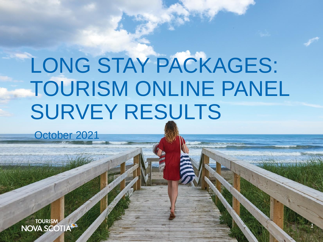# LONG STAY PACKAGES: TOURISM ONLINE PANEL SURVEY RESULTS

*1*

October 2021

**TOURISM**<br> **NOVA SCOTIA**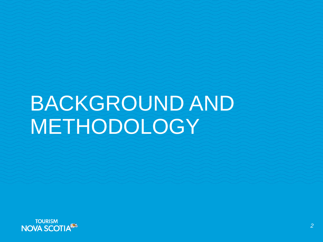# BACKGROUND AND METHODOLOGY

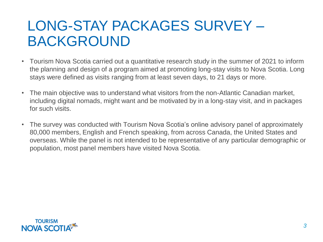### LONG-STAY PACKAGES SURVEY – BACKGROUND

- Tourism Nova Scotia carried out a quantitative research study in the summer of 2021 to inform the planning and design of a program aimed at promoting long-stay visits to Nova Scotia. Long stays were defined as visits ranging from at least seven days, to 21 days or more.
- The main objective was to understand what visitors from the non-Atlantic Canadian market, including digital nomads, might want and be motivated by in a long-stay visit, and in packages for such visits.
- The survey was conducted with Tourism Nova Scotia's online advisory panel of approximately 80,000 members, English and French speaking, from across Canada, the United States and overseas. While the panel is not intended to be representative of any particular demographic or population, most panel members have visited Nova Scotia.

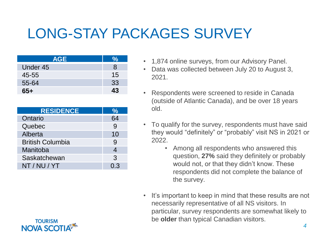### LONG-STAY PACKAGES SURVEY

| <b>AGE</b> |    |
|------------|----|
| Under 45   | 8  |
| $45 - 55$  | 15 |
| 55-64      | 33 |
| 65+        | 43 |

| <b>RESIDENCE</b>        | ℆   |
|-------------------------|-----|
| Ontario                 | 64  |
| Quebec                  | 9   |
| Alberta                 | 10  |
| <b>British Columbia</b> | 9   |
| Manitoba                | 4   |
| Saskatchewan            | 3   |
| NT / NU / YT            | 0.3 |

- 1,874 online surveys, from our Advisory Panel.
- Data was collected between July 20 to August 3, 2021.
- Respondents were screened to reside in Canada (outside of Atlantic Canada), and be over 18 years old.
- To qualify for the survey, respondents must have said they would "definitely" or "probably" visit NS in 2021 or 2022.
	- Among all respondents who answered this question, **27%** said they definitely or probably would not, or that they didn't know. These respondents did not complete the balance of the survey.
- It's important to keep in mind that these results are not necessarily representative of all NS visitors. In particular, survey respondents are somewhat likely to be **older** than typical Canadian visitors.

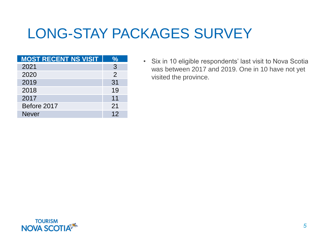### LONG-STAY PACKAGES SURVEY

| <b>MOST RECENT NS VISIT</b> |               |
|-----------------------------|---------------|
| 2021                        | 3             |
| 2020                        | $\mathcal{P}$ |
| 2019                        | 31            |
| 2018                        | 19            |
| 2017                        | 11            |
| Before 2017                 | 21            |
| <b>Never</b>                | 12            |

• Six in 10 eligible respondents' last visit to Nova Scotia was between 2017 and 2019. One in 10 have not yet visited the province.

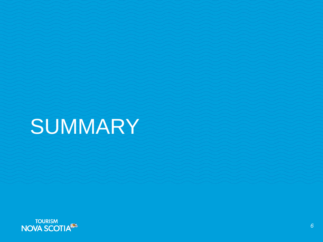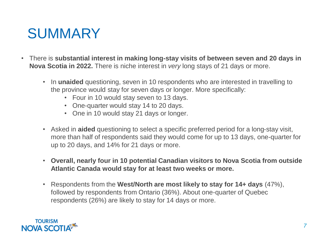- There is **substantial interest in making long-stay visits of between seven and 20 days in Nova Scotia in 2022.** There is niche interest in *very* long stays of 21 days or more.
	- In **unaided** questioning, seven in 10 respondents who are interested in travelling to the province would stay for seven days or longer. More specifically:
		- Four in 10 would stay seven to 13 days.
		- One-quarter would stay 14 to 20 days.
		- One in 10 would stay 21 days or longer.
	- Asked in **aided** questioning to select a specific preferred period for a long-stay visit, more than half of respondents said they would come for up to 13 days, one-quarter for up to 20 days, and 14% for 21 days or more.
	- **Overall, nearly four in 10 potential Canadian visitors to Nova Scotia from outside Atlantic Canada would stay for at least two weeks or more.**
	- Respondents from the **West/North are most likely to stay for 14+ days** (47%), followed by respondents from Ontario (36%). About one-quarter of Quebec respondents (26%) are likely to stay for 14 days or more.

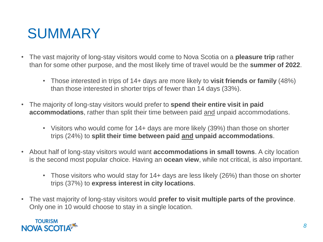- The vast majority of long-stay visitors would come to Nova Scotia on a **pleasure trip** rather than for some other purpose, and the most likely time of travel would be the **summer of 2022**.
	- Those interested in trips of 14+ days are more likely to **visit friends or family** (48%) than those interested in shorter trips of fewer than 14 days (33%).
- The majority of long-stay visitors would prefer to **spend their entire visit in paid accommodations**, rather than split their time between paid and unpaid accommodations.
	- Visitors who would come for 14+ days are more likely (39%) than those on shorter trips (24%) to **split their time between paid and unpaid accommodations**.
- About half of long-stay visitors would want **accommodations in small towns**. A city location is the second most popular choice. Having an **ocean view**, while not critical, is also important.
	- Those visitors who would stay for 14+ days are less likely (26%) than those on shorter trips (37%) to **express interest in city locations**.
- The vast majority of long-stay visitors would **prefer to visit multiple parts of the province**. Only one in 10 would choose to stay in a single location.

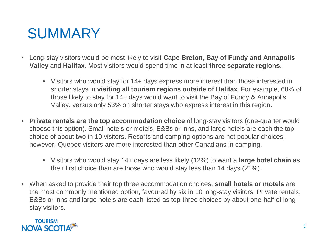- Long-stay visitors would be most likely to visit **Cape Breton**, **Bay of Fundy and Annapolis Valley** and **Halifax**. Most visitors would spend time in at least **three separate regions**.
	- Visitors who would stay for 14+ days express more interest than those interested in shorter stays in **visiting all tourism regions outside of Halifax**. For example, 60% of those likely to stay for 14+ days would want to visit the Bay of Fundy & Annapolis Valley, versus only 53% on shorter stays who express interest in this region.
- **Private rentals are the top accommodation choice** of long-stay visitors (one-quarter would choose this option). Small hotels or motels, B&Bs or inns, and large hotels are each the top choice of about two in 10 visitors. Resorts and camping options are not popular choices, however, Quebec visitors are more interested than other Canadians in camping.
	- Visitors who would stay 14+ days are less likely (12%) to want a **large hotel chain** as their first choice than are those who would stay less than 14 days (21%).
- When asked to provide their top three accommodation choices, **small hotels or motels** are the most commonly mentioned option, favoured by six in 10 long-stay visitors. Private rentals, B&Bs or inns and large hotels are each listed as top-three choices by about one-half of long stay visitors.

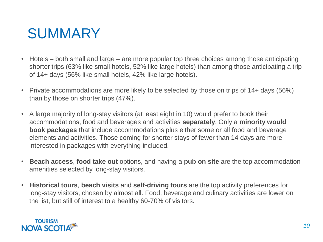- Hotels both small and large are more popular top three choices among those anticipating shorter trips (63% like small hotels, 52% like large hotels) than among those anticipating a trip of 14+ days (56% like small hotels, 42% like large hotels).
- Private accommodations are more likely to be selected by those on trips of 14+ days (56%) than by those on shorter trips (47%).
- A large majority of long-stay visitors (at least eight in 10) would prefer to book their accommodations, food and beverages and activities **separately**. Only a **minority would book packages** that include accommodations plus either some or all food and beverage elements and activities. Those coming for shorter stays of fewer than 14 days are more interested in packages with everything included.
- **Beach access**, **food take out** options, and having a **pub on site** are the top accommodation amenities selected by long-stay visitors.
- **Historical tours**, **beach visits** and **self-driving tours** are the top activity preferences for long-stay visitors, chosen by almost all. Food, beverage and culinary activities are lower on the list, but still of interest to a healthy 60-70% of visitors.

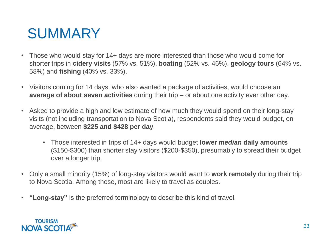- Those who would stay for 14+ days are more interested than those who would come for shorter trips in **cidery visits** (57% vs. 51%), **boating** (52% vs. 46%), **geology tours** (64% vs. 58%) and **fishing** (40% vs. 33%).
- Visitors coming for 14 days, who also wanted a package of activities, would choose an **average of about seven activities** during their trip – or about one activity ever other day.
- Asked to provide a high and low estimate of how much they would spend on their long-stay visits (not including transportation to Nova Scotia), respondents said they would budget, on average, between **\$225 and \$428 per day**.
	- Those interested in trips of 14+ days would budget **lower** *median* **daily amounts**  (\$150-\$300) than shorter stay visitors (\$200-\$350), presumably to spread their budget over a longer trip.
- Only a small minority (15%) of long-stay visitors would want to **work remotely** during their trip to Nova Scotia. Among those, most are likely to travel as couples.
- **"Long-stay"** is the preferred terminology to describe this kind of travel.

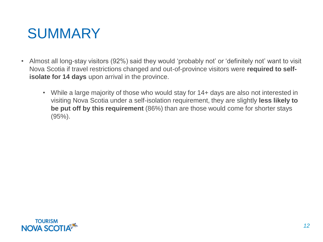- Almost all long-stay visitors (92%) said they would 'probably not' or 'definitely not' want to visit Nova Scotia if travel restrictions changed and out-of-province visitors were **required to selfisolate for 14 days** upon arrival in the province.
	- While a large majority of those who would stay for 14+ days are also not interested in visiting Nova Scotia under a self-isolation requirement, they are slightly **less likely to be put off by this requirement** (86%) than are those would come for shorter stays (95%).

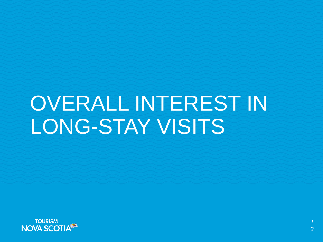# OVERALL INTEREST IN LONG-STAY VISITS

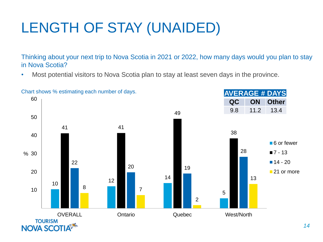# LENGTH OF STAY (UNAIDED)

Thinking about your next trip to Nova Scotia in 2021 or 2022, how many days would you plan to stay in Nova Scotia?

• Most potential visitors to Nova Scotia plan to stay at least seven days in the province.

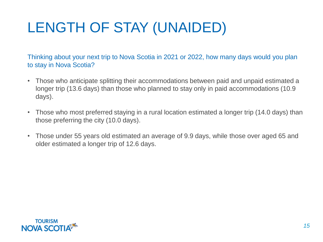# LENGTH OF STAY (UNAIDED)

Thinking about your next trip to Nova Scotia in 2021 or 2022, how many days would you plan to stay in Nova Scotia?

- Those who anticipate splitting their accommodations between paid and unpaid estimated a longer trip (13.6 days) than those who planned to stay only in paid accommodations (10.9 days).
- Those who most preferred staying in a rural location estimated a longer trip (14.0 days) than those preferring the city (10.0 days).
- Those under 55 years old estimated an average of 9.9 days, while those over aged 65 and older estimated a longer trip of 12.6 days.

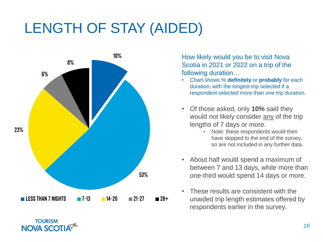### LENGTH OF STAY (AIDED)



**TOURISM NOVA SCOTIA**  How likely would you be to visit Nova Scotia in 2021 or 2022 on a trip of the following duration…

- Chart shows % **definitely** or **probably** for each duration, with the longest trip selected if a respondent selected more than one trip duration.
- Of those asked, only **10%** said they would not likely consider any of the trip lengths of 7 days or more.
	- Note: these respondents would then have skipped to the end of the survey, so are not included in any further data.
- About half would spend a maximum of between 7 and 13 days, while more than one-third would spend 14 days or more.
- These results are consistent with the unaided trip length estimates offered by respondents earlier in the survey.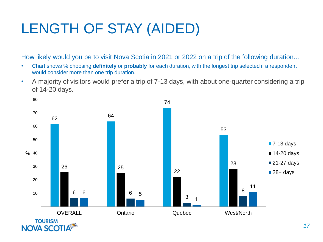# LENGTH OF STAY (AIDED)

How likely would you be to visit Nova Scotia in 2021 or 2022 on a trip of the following duration...

- Chart shows % choosing **definitely** or **probably** for each duration, with the longest trip selected if a respondent would consider more than one trip duration.
- A majority of visitors would prefer a trip of 7-13 days, with about one-quarter considering a trip of 14-20 days.

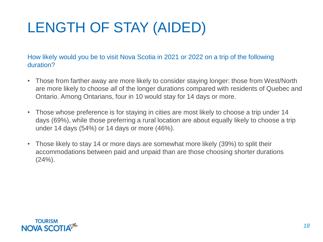# LENGTH OF STAY (AIDED)

How likely would you be to visit Nova Scotia in 2021 or 2022 on a trip of the following duration?

- Those from farther away are more likely to consider staying longer: those from West/North are more likely to choose *all* of the longer durations compared with residents of Quebec and Ontario. Among Ontarians, four in 10 would stay for 14 days or more.
- Those whose preference is for staying in cities are most likely to choose a trip under 14 days (69%), while those preferring a rural location are about equally likely to choose a trip under 14 days (54%) or 14 days or more (46%).
- Those likely to stay 14 or more days are somewhat more likely (39%) to split their accommodations between paid and unpaid than are those choosing shorter durations  $(24%)$ .

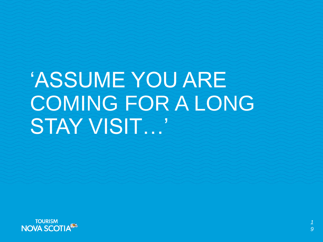# 'ASSUME YOU ARE COMING FOR A LONG STAY VISIT…'

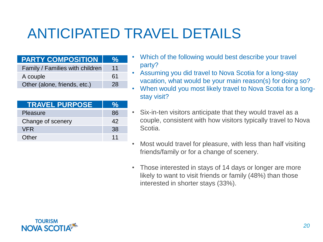# ANTICIPATED TRAVEL DETAILS

#### **PARTY COMPOSITION %**

| Family / Families with children | 11 |
|---------------------------------|----|
| A couple                        | 61 |
| Other (alone, friends, etc.)    | 28 |

| <b>TRAVEL PURPOSE</b> | ℆   |
|-----------------------|-----|
| Pleasure              | 86  |
| Change of scenery     | 42  |
| <b>VFR</b>            | 38. |
| Other                 | 11  |

- Which of the following would best describe your travel party?
- Assuming you did travel to Nova Scotia for a long-stay vacation, what would be your main reason(s) for doing so?
- When would you most likely travel to Nova Scotia for a longstay visit?
- Six-in-ten visitors anticipate that they would travel as a couple, consistent with how visitors typically travel to Nova Scotia.
- Most would travel for pleasure, with less than half visiting friends/family or for a change of scenery.
- Those interested in stays of 14 days or longer are more likely to want to visit friends or family (48%) than those interested in shorter stays (33%).

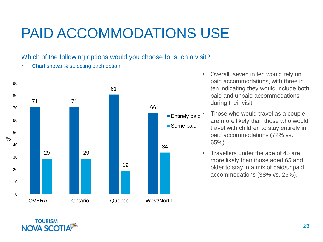# PAID ACCOMMODATIONS USE

#### Which of the following options would you choose for such a visit?

• Chart shows % selecting each option.



- Overall, seven in ten would rely on paid accommodations, with three in ten indicating they would include both paid and unpaid accommodations during their visit.
- Those who would travel as a couple are more likely than those who would travel with children to stay entirely in paid accommodations (72% vs. 65%).
- Travellers under the age of 45 are more likely than those aged 65 and older to stay in a mix of paid/unpaid accommodations (38% vs. 26%).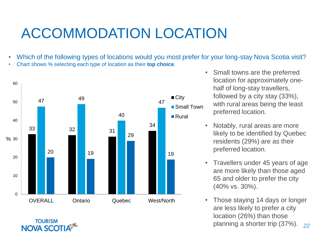# ACCOMMODATION LOCATION

- Which of the following types of locations would you most prefer for your long-stay Nova Scotia visit?
- Chart shows % selecting each type of location as their **top choice**.



**TOURISM NOVA SCOTIA** 

- Small towns are the preferred location for approximately onehalf of long-stay travellers, followed by a city stay (33%), with rural areas being the least preferred location.
- Notably, rural areas are more likely to be identified by Quebec residents (29%) are as their preferred location.
- Travellers under 45 years of age are more likely than those aged 65 and older to prefer the city (40% vs. 30%).
- *22* • Those staying 14 days or longer are less likely to prefer a city location (26%) than those planning a shorter trip (37%).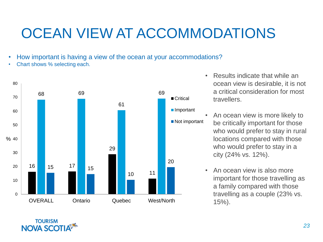# OCEAN VIEW AT ACCOMMODATIONS

- How important is having a view of the ocean at your accommodations?
- Chart shows % selecting each.

**TOURISM NOVA SCOTIA** 



- Results indicate that while an ocean view is desirable, it is not a critical consideration for most travellers.
- An ocean view is more likely to be critically important for those who would prefer to stay in rural locations compared with those who would prefer to stay in a city (24% vs. 12%).
- An ocean view is also more important for those travelling as a family compared with those travelling as a couple (23% vs. 15%).

*23*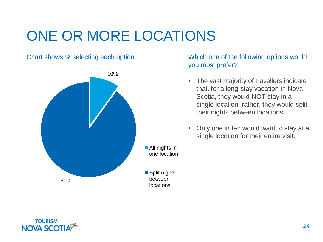# ONE OR MORE LOCATIONS

Chart shows % selecting each option.



#### Which one of the following options would you most prefer?

- The vast majority of travellers indicate that, for a long-stay vacation in Nova Scotia, they would NOT stay in a single location, rather, they would split their nights between locations.
- Only one in ten would want to stay at a single location for their entire visit.

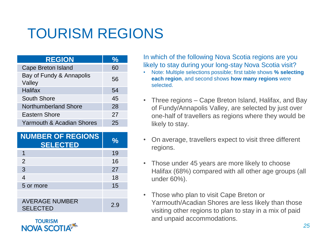# TOURISM REGIONS

| <b>REGION</b>                      | $\frac{1}{2}$ |
|------------------------------------|---------------|
| Cape Breton Island                 | 60            |
| Bay of Fundy & Annapolis<br>Valley | 56            |
| <b>Halifax</b>                     | 54            |
| South Shore                        | 45            |
| Northumberland Shore               | 28            |
| Eastern Shore                      | 27            |
| Yarmouth & Acadian Shores          | 25            |

| <b>NUMBER OF REGIONS</b><br><b>SELECTED</b> | ℆  |
|---------------------------------------------|----|
| 1                                           | 19 |
| $\overline{2}$                              | 16 |
| 3                                           | 27 |
| 4                                           | 18 |
| 5 or more                                   | 15 |
|                                             |    |
| <b>AVERAGE NUMBER</b><br><b>SELECTED</b>    | 29 |

**TOURISM** NOVA SCOT

In which of the following Nova Scotia regions are you likely to stay during your long-stay Nova Scotia visit?

- Note: Multiple selections possible; first table shows **% selecting each region**, and second shows **how many regions** were selected.
- Three regions Cape Breton Island, Halifax, and Bay of Fundy/Annapolis Valley, are selected by just over one-half of travellers as regions where they would be likely to stay.
- On average, travellers expect to visit three different regions.
- Those under 45 years are more likely to choose Halifax (68%) compared with all other age groups (all under 60%).
- Those who plan to visit Cape Breton or Yarmouth/Acadian Shores are less likely than those visiting other regions to plan to stay in a mix of paid and unpaid accommodations.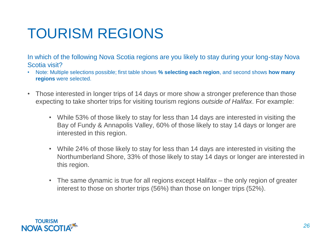# TOURISM REGIONS

In which of the following Nova Scotia regions are you likely to stay during your long-stay Nova Scotia visit?

- Note: Multiple selections possible; first table shows **% selecting each region**, and second shows **how many regions** were selected.
- Those interested in longer trips of 14 days or more show a stronger preference than those expecting to take shorter trips for visiting tourism regions *outside of Halifax*. For example:
	- While 53% of those likely to stay for less than 14 days are interested in visiting the Bay of Fundy & Annapolis Valley, 60% of those likely to stay 14 days or longer are interested in this region.
	- While 24% of those likely to stay for less than 14 days are interested in visiting the Northumberland Shore, 33% of those likely to stay 14 days or longer are interested in this region.
	- The same dynamic is true for all regions except Halifax the only region of greater interest to those on shorter trips (56%) than those on longer trips (52%).

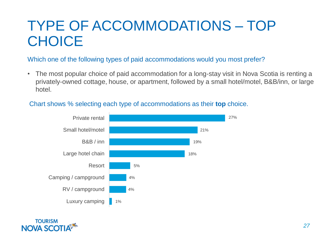### TYPE OF ACCOMMODATIONS – TOP **CHOICE**

Which one of the following types of paid accommodations would you most prefer?

• The most popular choice of paid accommodation for a long-stay visit in Nova Scotia is renting a privately-owned cottage, house, or apartment, followed by a small hotel/motel, B&B/inn, or large hotel.

#### Chart shows % selecting each type of accommodations as their **top** choice.



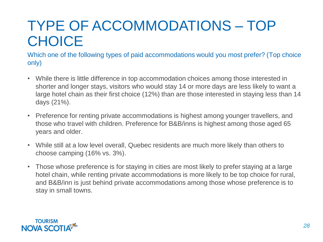### TYPE OF ACCOMMODATIONS – TOP **CHOICE**

Which one of the following types of paid accommodations would you most prefer? (Top choice only)

- While there is little difference in top accommodation choices among those interested in shorter and longer stays, visitors who would stay 14 or more days are less likely to want a large hotel chain as their first choice (12%) than are those interested in staying less than 14 days (21%).
- Preference for renting private accommodations is highest among younger travellers, and those who travel with children. Preference for B&B/inns is highest among those aged 65 years and older.
- While still at a low level overall, Quebec residents are much more likely than others to choose camping (16% vs. 3%).
- Those whose preference is for staying in cities are most likely to prefer staying at a large hotel chain, while renting private accommodations is more likely to be top choice for rural, and B&B/inn is just behind private accommodations among those whose preference is to stay in small towns.

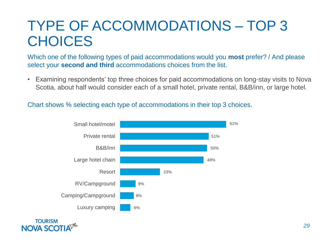### TYPE OF ACCOMMODATIONS – TOP 3 **CHOICES**

Which one of the following types of paid accommodations would you **most** prefer? / And please select your **second and third** accommodations choices from the list.

• Examining respondents' top three choices for paid accommodations on long-stay visits to Nova Scotia, about half would consider each of a small hotel, private rental, B&B/inn, or large hotel.

#### Chart shows % selecting each type of accommodations in their top 3 choices.



**NOVA SCOT**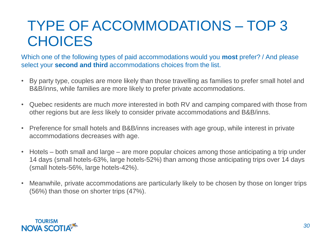### TYPE OF ACCOMMODATIONS – TOP 3 **CHOICES**

Which one of the following types of paid accommodations would you **most** prefer? / And please select your **second and third** accommodations choices from the list.

- By party type, couples are more likely than those travelling as families to prefer small hotel and B&B/inns, while families are more likely to prefer private accommodations.
- Quebec residents are much *more* interested in both RV and camping compared with those from other regions but are *less* likely to consider private accommodations and B&B/inns.
- Preference for small hotels and B&B/inns increases with age group, while interest in private accommodations decreases with age.
- Hotels both small and large are more popular choices among those anticipating a trip under 14 days (small hotels-63%, large hotels-52%) than among those anticipating trips over 14 days (small hotels-56%, large hotels-42%).
- Meanwhile, private accommodations are particularly likely to be chosen by those on longer trips (56%) than those on shorter trips (47%).

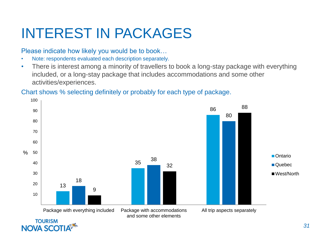### INTEREST IN PACKAGES

Please indicate how likely you would be to book…

- Note: respondents evaluated each description separately.
- There is interest among a minority of travellers to book a long-stay package with everything included, or a long-stay package that includes accommodations and some other activities/experiences.

#### Chart shows % selecting definitely or probably for each type of package.

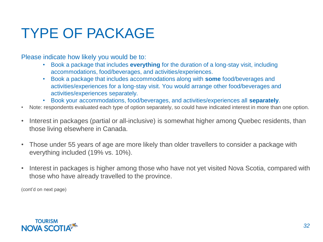# TYPE OF PACKAGE

Please indicate how likely you would be to:

- Book a package that includes **everything** for the duration of a long-stay visit, including accommodations, food/beverages, and activities/experiences.
- Book a package that includes accommodations along with **some** food/beverages and activities/experiences for a long-stay visit. You would arrange other food/beverages and activities/experiences separately.
- Book your accommodations, food/beverages, and activities/experiences all **separately**.
- Note: respondents evaluated each type of option separately, so could have indicated interest in more than one option.
- Interest in packages (partial or all-inclusive) is somewhat higher among Quebec residents, than those living elsewhere in Canada.
- Those under 55 years of age are more likely than older travellers to consider a package with everything included (19% vs. 10%).
- Interest in packages is higher among those who have not yet visited Nova Scotia, compared with those who have already travelled to the province.

(cont'd on next page)

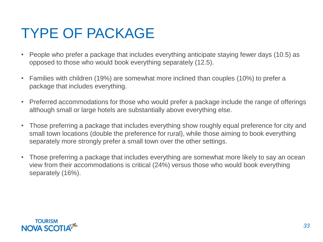# TYPE OF PACKAGE

- People who prefer a package that includes everything anticipate staying fewer days (10.5) as opposed to those who would book everything separately (12.5).
- Families with children (19%) are somewhat more inclined than couples (10%) to prefer a package that includes everything.
- Preferred accommodations for those who would prefer a package include the range of offerings although small or large hotels are substantially above everything else.
- Those preferring a package that includes everything show roughly equal preference for city and small town locations (double the preference for rural), while those aiming to book everything separately more strongly prefer a small town over the other settings.
- Those preferring a package that includes everything are somewhat more likely to say an ocean view from their accommodations is critical (24%) versus those who would book everything separately (16%).

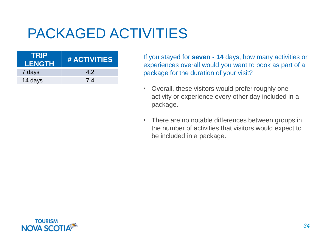# PACKAGED ACTIVITIES

| TRIP<br><b>LENGTH</b> | # ACTIVITIES |
|-----------------------|--------------|
| 7 days                | 42           |
| 14 days               | 7.4          |

If you stayed for **seven** - **14** days, how many activities or experiences overall would you want to book as part of a package for the duration of your visit?

- Overall, these visitors would prefer roughly one activity or experience every other day included in a package.
- There are no notable differences between groups in the number of activities that visitors would expect to be included in a package.

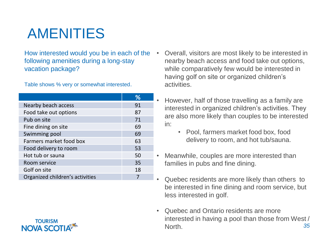# AMENITIES

#### How interested would you be in each of the following amenities during a long-stay vacation package?

Table shows % very or somewhat interested.

|                                 | ℅  |
|---------------------------------|----|
| Nearby beach access             | 91 |
| Food take out options           | 87 |
| Pub on site                     | 71 |
| Fine dining on site             | 69 |
| Swimming pool                   | 69 |
| Farmers market food box         | 63 |
| Food delivery to room           | 53 |
| Hot tub or sauna                | 50 |
| Room service                    | 35 |
| Golf on site                    | 18 |
| Organized children's activities |    |



- However, half of those travelling as a family are interested in organized children's activities. They are also more likely than couples to be interested in:
	- Pool, farmers market food box, food delivery to room, and hot tub/sauna.
- Meanwhile, couples are more interested than families in pubs and fine dining.
- Quebec residents are more likely than others to be interested in fine dining and room service, but less interested in golf.
- *35* • Quebec and Ontario residents are more interested in having a pool than those from West / North.

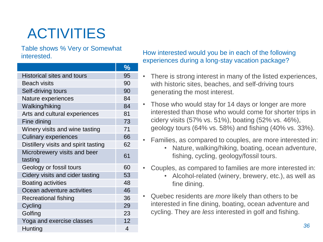# ACTIVITIES

Table shows % Very or Somewhat interested.

|                                      | $\frac{1}{2}$ |
|--------------------------------------|---------------|
| Historical sites and tours           | 95            |
| Beach visits                         | 90            |
| Self-driving tours                   | 90            |
| Nature experiences                   | 84            |
| Walking/hiking                       | 84            |
| Arts and cultural experiences        | 81            |
| Fine dining                          | 73            |
| Winery visits and wine tasting       | 71            |
| <b>Culinary experiences</b>          | 66            |
| Distillery visits and spirit tasting | 62            |
| Microbrewery visits and beer         | 61            |
| tasting                              |               |
| Geology or fossil tours              | 60            |
| Cidery visits and cider tasting      | 53            |
| <b>Boating activities</b>            | 48            |
| Ocean adventure activities           | 46            |
| Recreational fishing                 | 36            |
| Cycling                              | 29            |
| Golfing                              | 23            |
| Yoga and exercise classes            | 12            |
| Hunting                              | 4             |

#### How interested would you be in each of the following experiences during a long-stay vacation package?

- There is strong interest in many of the listed experiences, with historic sites, beaches, and self-driving tours generating the most interest.
- Those who would stay for 14 days or longer are more interested than those who would come for shorter trips in cidery visits (57% vs. 51%), boating (52% vs. 46%), geology tours (64% vs. 58%) and fishing (40% vs. 33%).
- Families, as compared to couples, are more interested in:
	- Nature, walking/hiking, boating, ocean adventure, fishing, cycling, geology/fossil tours.
- Couples, as compared to families are more interested in:
	- Alcohol-related (winery, brewery, etc.), as well as fine dining.
- Quebec residents are *more* likely than others to be interested in fine dining, boating, ocean adventure and cycling. They are *less* interested in golf and fishing.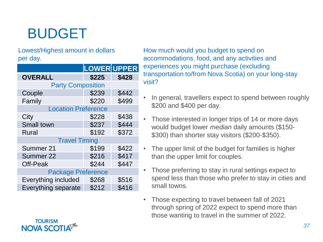# BUDGET

Lowest/Highest amount in dollars per day.

|                            | LOWER UPPER |       |
|----------------------------|-------------|-------|
| <b>OVERALL</b>             | \$225       | \$428 |
| <b>Party Composition</b>   |             |       |
| Couple                     | \$239       | \$442 |
| Family                     | \$220       | \$499 |
| <b>Location Preference</b> |             |       |
| City                       | \$228       | \$438 |
| Small town                 | \$237       | \$444 |
| Rural                      | \$192       | \$372 |
| <b>Travel Timing</b>       |             |       |
| Summer 21                  | \$199       | \$422 |
| Summer 22                  | \$216       | \$417 |
| Off-Peak                   | \$244       | \$447 |
| <b>Package Preference</b>  |             |       |
| Everything included        | \$268       | \$516 |
| Everything separate        | \$212       | \$416 |

How much would you budget to spend on accommodations, food, and any activities and experiences you might purchase (excluding transportation to/from Nova Scotia) on your long-stay visit?

- In general, travellers expect to spend between roughly \$200 and \$400 per day.
- Those interested in longer trips of 14 or more days would budget lower *median* daily amounts (\$150- \$300) than shorter stay visitors (\$200-\$350).
- The upper limit of the budget for families is higher than the upper limit for couples.
- Those preferring to stay in rural settings expect to spend less than those who prefer to stay in cities and small towns.
- Those expecting to travel between fall of 2021 through spring of 2022 expect to spend more than those wanting to travel in the summer of 2022.



**TOURISM**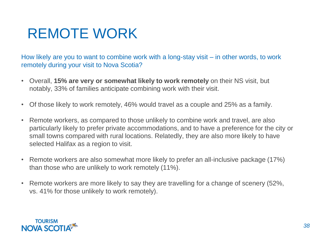# REMOTE WORK

How likely are you to want to combine work with a long-stay visit – in other words, to work remotely during your visit to Nova Scotia?

- Overall, **15% are very or somewhat likely to work remotely** on their NS visit, but notably, 33% of families anticipate combining work with their visit.
- Of those likely to work remotely, 46% would travel as a couple and 25% as a family.
- Remote workers, as compared to those unlikely to combine work and travel, are also particularly likely to prefer private accommodations, and to have a preference for the city or small towns compared with rural locations. Relatedly, they are also more likely to have selected Halifax as a region to visit.
- Remote workers are also somewhat more likely to prefer an all-inclusive package (17%) than those who are unlikely to work remotely (11%).
- Remote workers are more likely to say they are travelling for a change of scenery (52%, vs. 41% for those unlikely to work remotely).

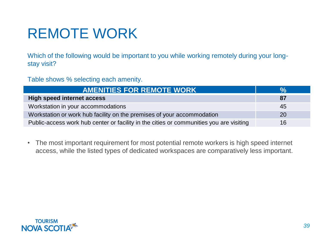# REMOTE WORK

Which of the following would be important to you while working remotely during your longstay visit?

Table shows % selecting each amenity.

| <b>AMENITIES FOR REMOTE WORK</b>                                                        | <b>VA</b> |
|-----------------------------------------------------------------------------------------|-----------|
| <b>High speed internet access</b>                                                       | 87        |
| Workstation in your accommodations                                                      | 45        |
| Workstation or work hub facility on the premises of your accommodation                  | 20        |
| Public-access work hub center or facility in the cities or communities you are visiting | 16        |

• The most important requirement for most potential remote workers is high speed internet access, while the listed types of dedicated workspaces are comparatively less important.

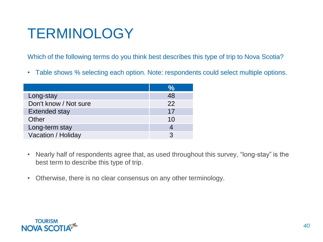# **TERMINOLOGY**

Which of the following terms do you think best describes this type of trip to Nova Scotia?

• Table shows % selecting each option. Note: respondents could select multiple options.

|                       | $\frac{1}{2}$ |
|-----------------------|---------------|
| Long-stay             | 48            |
| Don't know / Not sure | 22            |
| Extended stay         | 17            |
| Other                 | 10            |
| Long-term stay        |               |
| Vacation / Holiday    | 3             |

- Nearly half of respondents agree that, as used throughout this survey, "long-stay" is the best term to describe this type of trip.
- Otherwise, there is no clear consensus on any other terminology.